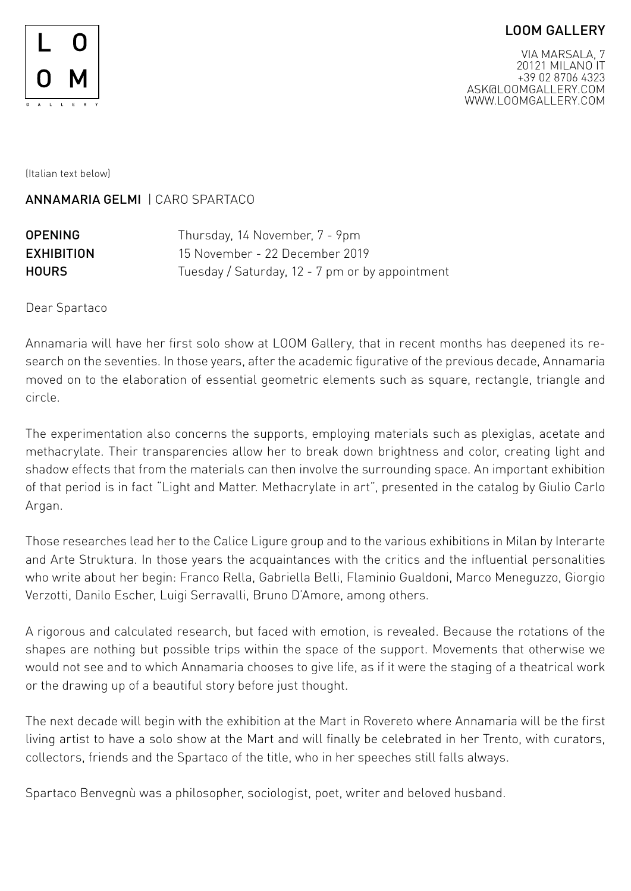## LOOM GALLERY



VIA MARSALA, 7 20121 MILANO IT +39 02 8706 4323 ASK@LOOMGALLERY.COM WWW.LOOMGALLERY.COM

(Italian text below)

ANNAMARIA GELMI | CARO SPARTACO

| <b>OPENING</b>    | Thursday, 14 November, 7 - 9pm                  |
|-------------------|-------------------------------------------------|
| <b>EXHIBITION</b> | 15 November - 22 December 2019                  |
| <b>HOURS</b>      | Tuesday / Saturday, 12 - 7 pm or by appointment |

Dear Spartaco

Annamaria will have her first solo show at LOOM Gallery, that in recent months has deepened its research on the seventies. In those years, after the academic figurative of the previous decade, Annamaria moved on to the elaboration of essential geometric elements such as square, rectangle, triangle and circle.

The experimentation also concerns the supports, employing materials such as plexiglas, acetate and methacrylate. Their transparencies allow her to break down brightness and color, creating light and shadow effects that from the materials can then involve the surrounding space. An important exhibition of that period is in fact "Light and Matter. Methacrylate in art", presented in the catalog by Giulio Carlo Argan.

Those researches lead her to the Calice Ligure group and to the various exhibitions in Milan by Interarte and Arte Struktura. In those years the acquaintances with the critics and the influential personalities who write about her begin: Franco Rella, Gabriella Belli, Flaminio Gualdoni, Marco Meneguzzo, Giorgio Verzotti, Danilo Escher, Luigi Serravalli, Bruno D'Amore, among others.

A rigorous and calculated research, but faced with emotion, is revealed. Because the rotations of the shapes are nothing but possible trips within the space of the support. Movements that otherwise we would not see and to which Annamaria chooses to give life, as if it were the staging of a theatrical work or the drawing up of a beautiful story before just thought.

The next decade will begin with the exhibition at the Mart in Rovereto where Annamaria will be the first living artist to have a solo show at the Mart and will finally be celebrated in her Trento, with curators, collectors, friends and the Spartaco of the title, who in her speeches still falls always.

Spartaco Benvegnù was a philosopher, sociologist, poet, writer and beloved husband.